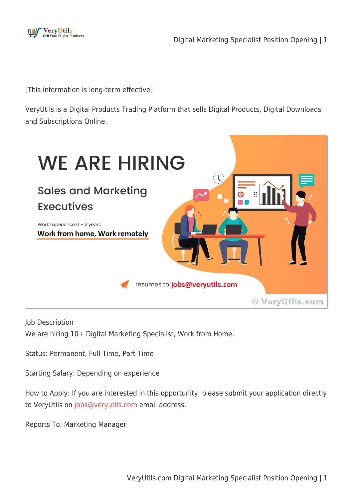

[This information is long-term effective]

VeryUtils is a Digital Products Trading Platform that sells Digital Products, Digital Downloads and Subscriptions Online.



Job Description

We are hiring 10+ Digital Marketing Specialist, Work from Home.

Status: Permanent, Full-Time, Part-Time

Starting Salary: Depending on experience

How to Apply: If you are interested in this opportunity, please submit your application directly to VeryUtils on [jobs@veryutils.com](mailto:jobs@veryutils.com) email address.

Reports To: Marketing Manager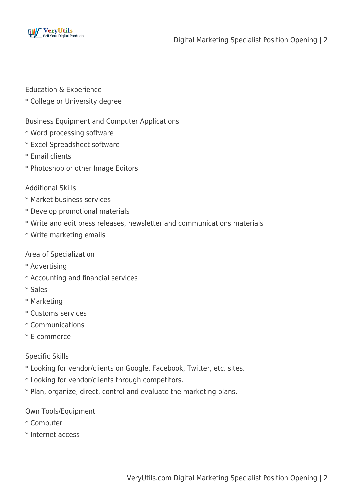

Education & Experience

\* College or University degree

Business Equipment and Computer Applications

- \* Word processing software
- \* Excel Spreadsheet software
- \* Email clients
- \* Photoshop or other Image Editors

#### Additional Skills

- \* Market business services
- \* Develop promotional materials
- \* Write and edit press releases, newsletter and communications materials
- \* Write marketing emails

Area of Specialization

- \* Advertising
- \* Accounting and financial services
- \* Sales
- \* Marketing
- \* Customs services
- \* Communications
- \* E-commerce

Specific Skills

- \* Looking for vendor/clients on Google, Facebook, Twitter, etc. sites.
- \* Looking for vendor/clients through competitors.
- \* Plan, organize, direct, control and evaluate the marketing plans.

Own Tools/Equipment

- \* Computer
- \* Internet access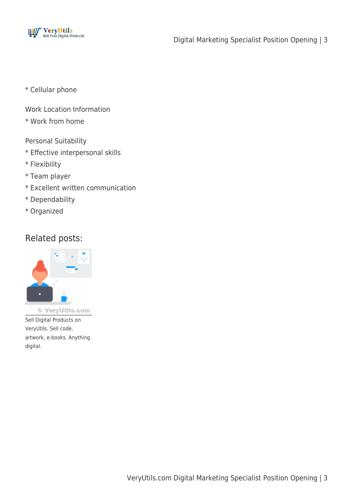

- \* Cellular phone
- Work Location Information
- \* Work from home
- Personal Suitability
- \* Effective interpersonal skills
- \* Flexibility
- \* Team player
- \* Excellent written communication
- \* Dependability
- \* Organized

### Related posts:



Sell Digital Products on VeryUtils. Sell code, artwork, e-books. Anything digital.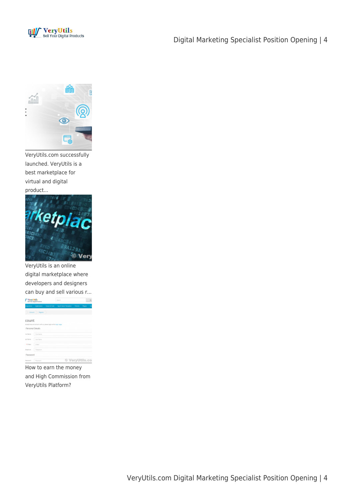

#### Digital Marketing Specialist Position Opening | 4



VeryUtils.com successfully launched. VeryUtils is a best marketplace for virtual and digital product...



VeryUtils is an online digital marketplace where developers and designers can buy and sell various r... **C** Verrittils  $\overline{a}$ 

|                   | <b>And Frede Destan Pendentis</b>                                             |                       | $\sim$ |
|-------------------|-------------------------------------------------------------------------------|-----------------------|--------|
|                   | improves Application. Separatifiate has biliano-herpiers. Thereis, Ruges. Ca. |                       |        |
|                   | () Arnet () Report ()                                                         |                       |        |
| count             | dready/here are arrived with us, please legit unifor right page.              |                       |        |
| Personal Details  |                                                                               |                       |        |
| <b>Institutes</b> | <b>Parish Realman</b>                                                         |                       |        |
| And Harvey        | <b>Corp. Racross</b>                                                          |                       |        |
| <b>A-C. Alant</b> | 15. Future                                                                    |                       |        |
| <b>Magicans</b>   | Telephone                                                                     |                       |        |
| Password          |                                                                               |                       |        |
|                   | Representative Committee of the                                               | 63 Magnel Hillie, and |        |

How to earn the money and High Commission from VeryUtils Platform?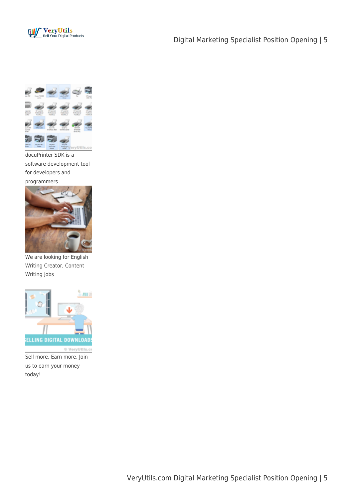

#### Digital Marketing Specialist Position Opening | 5



software development tool for developers and programmers



We are looking for English Writing Creator, Content Writing Jobs



Sell more, Earn more, Join us to earn your money today!